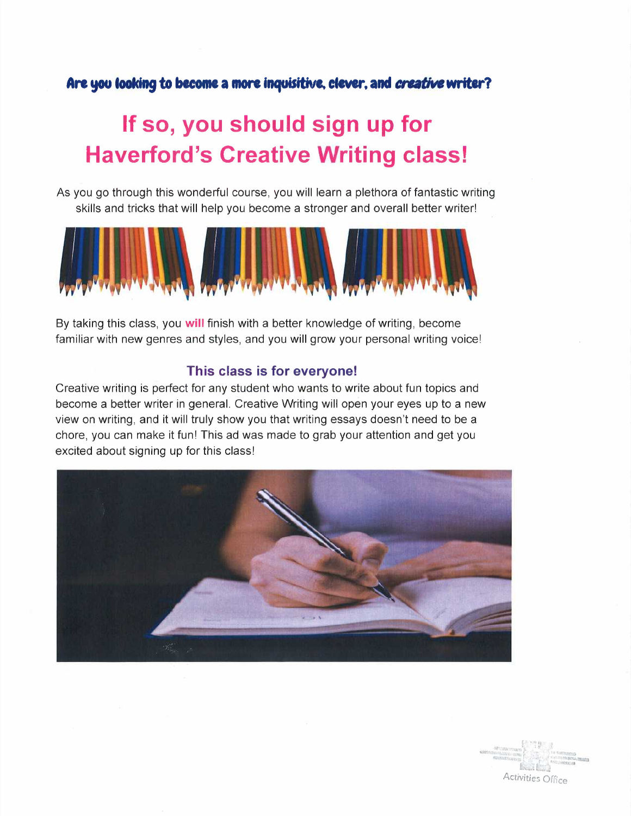# Are you looking to become a more inquisitive, clever, and *creative* writer?

# **If so, you should sign up for Haverford's Creative Writing class!**

As you go through this wonderful course, you will learn a plethora of fantastic writing skills and tricks that will help you become a stronger and overall better writer!



By taking this class, you **will** finish with a better knowledge of writing, become familiar with new genres and styles, and you will grow your personal writing voice!

# **This class is for everyone!**

Creative writing is perfect for any student who wants to write about fun topics and become a better writer in general. Creative Writing will open your eyes up to a new view on writing, and it will truly show you that writing essays doesn't need to be a chore, you can make it fun! This ad was made to grab your attention and get you excited about signing up for this class!



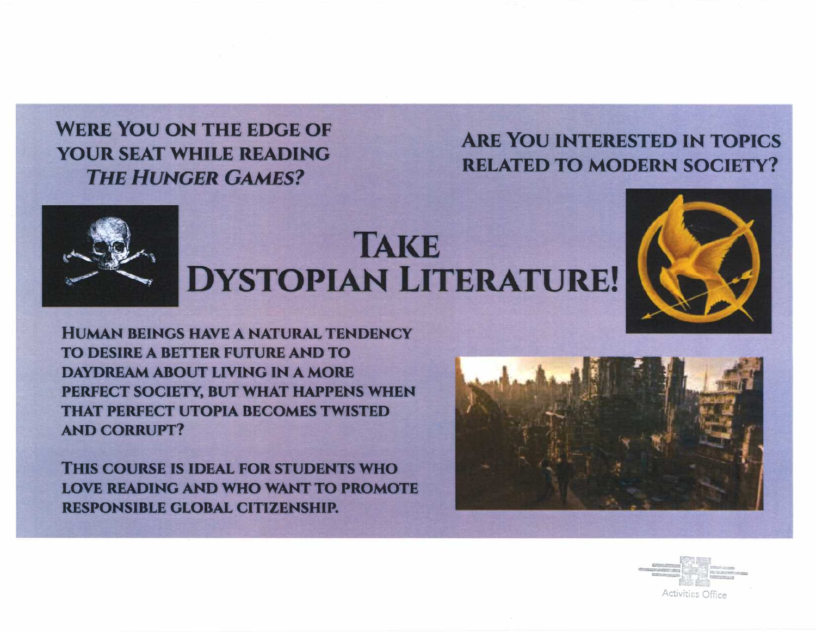WERE YOU ON THE EDGE OF YOUR SEAT WHILE **READING**  *THE HUNGER GAMES?* 

# ARE You INTERESTED IN TOPICS RELATED TO MODERN SOCIETY?



# TAKE DYSTOPIAN LITERATURE!



HUMAN BEINGS HAVE A NATURAL TENDENCY TO DESIRE A BETTER FUTURE AND TO **DAYDREAM ABOUT LIVING IN A MORE** PERFECT SOCIETY. BUT WHAT **HAPPENS** WHEN THAT PERFECT UTOPIA BECOMES TWISTED AND CORRUPT?

THIS COURSE IS IDEAL FOR STUDENTS WHO LOVE READING AND WHO WANT TO PROMOTE RESPONSIBLE GLOBAL CITIZENSHIP.



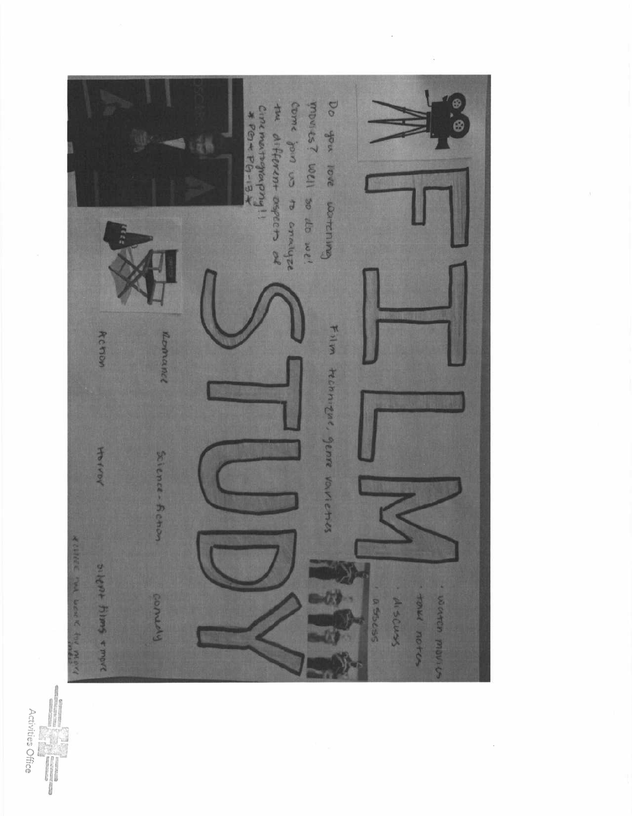

Activities Office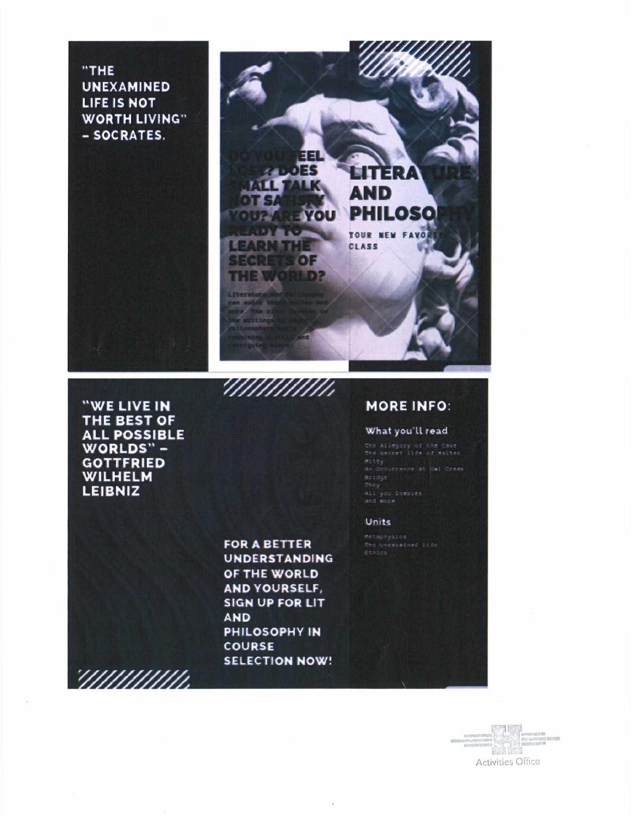"THE UNEXAMINED LIFE IS NOT WORTH LIVING" - SOCRATES.



"WE LIVE IN THE BEST OF ALL POSSIBLE WORLDS" -**GOTTFRIED** WILHELM LEIBNIZ

> FOR A BETTER UNDERSTANDING OF THE WORLD AND YOURSELF, SIGN UP FOR LIT AND PHILOSOPHY IN COURSE SELECTION NOW!

> IIIIIIIIIIII

'IIIIIIIIIIII

# MORE INFO:

## What you'll read

the Allegory of the Cave<br>The secret life of Malter ine secret itse or eaiter<br>Mitty<br>An Occurrence at Owi Creek<br>Bridge

### Units

Metaphysics<br>The Unexamined life<br>Ethics

Activities Office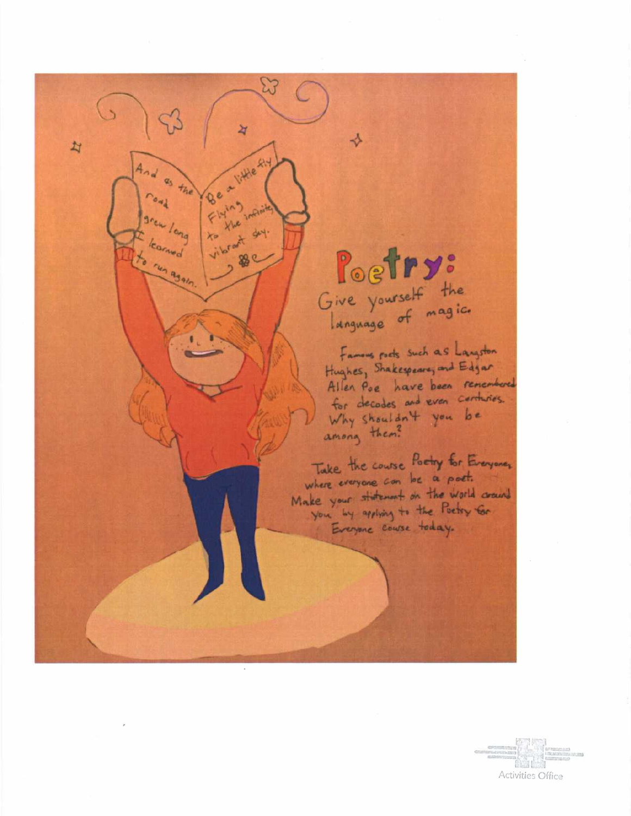# Give yourself the

 $\rightarrow$ 

ধ

Beatille Ry

44.

怒く

 $F1410$ 

 $a_5$  the

run again

 $\overline{z}$ 

Famous rocts such as Langston Hughes, Shakespearing and Edgar Allen Poe have been renembered for decades and even certaines. Why shouldn't you be<br>among them?

Take the course Poetry for Everyoner where everyone can be a patt. Make your statement on the world coains Everyone course today.